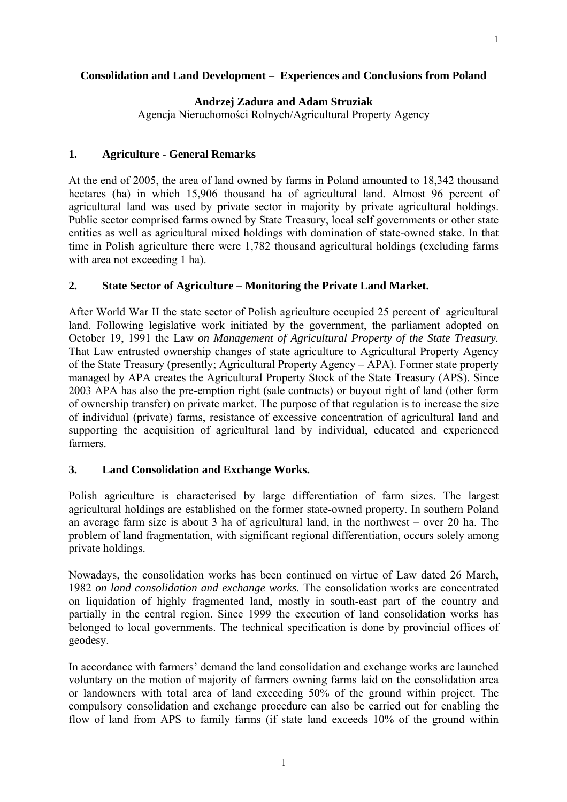#### **Consolidation and Land Development – Experiences and Conclusions from Poland**

## **Andrzej Zadura and Adam Struziak**

Agencja Nieruchomości Rolnych/Agricultural Property Agency

### **1. Agriculture - General Remarks**

At the end of 2005, the area of land owned by farms in Poland amounted to 18,342 thousand hectares (ha) in which 15,906 thousand ha of agricultural land. Almost 96 percent of agricultural land was used by private sector in majority by private agricultural holdings. Public sector comprised farms owned by State Treasury, local self governments or other state entities as well as agricultural mixed holdings with domination of state-owned stake. In that time in Polish agriculture there were 1,782 thousand agricultural holdings (excluding farms with area not exceeding 1 ha).

#### **2. State Sector of Agriculture – Monitoring the Private Land Market.**

After World War II the state sector of Polish agriculture occupied 25 percent of agricultural land. Following legislative work initiated by the government, the parliament adopted on October 19, 1991 the Law *on Management of Agricultural Property of the State Treasury.*  That Law entrusted ownership changes of state agriculture to Agricultural Property Agency of the State Treasury (presently; Agricultural Property Agency – APA). Former state property managed by APA creates the Agricultural Property Stock of the State Treasury (APS). Since 2003 APA has also the pre-emption right (sale contracts) or buyout right of land (other form of ownership transfer) on private market. The purpose of that regulation is to increase the size of individual (private) farms, resistance of excessive concentration of agricultural land and supporting the acquisition of agricultural land by individual, educated and experienced farmers.

## **3. Land Consolidation and Exchange Works.**

Polish agriculture is characterised by large differentiation of farm sizes. The largest agricultural holdings are established on the former state-owned property. In southern Poland an average farm size is about 3 ha of agricultural land, in the northwest – over 20 ha. The problem of land fragmentation, with significant regional differentiation, occurs solely among private holdings.

Nowadays, the consolidation works has been continued on virtue of Law dated 26 March, 1982 *on land consolidation and exchange works*. The consolidation works are concentrated on liquidation of highly fragmented land, mostly in south-east part of the country and partially in the central region. Since 1999 the execution of land consolidation works has belonged to local governments. The technical specification is done by provincial offices of geodesy.

In accordance with farmers' demand the land consolidation and exchange works are launched voluntary on the motion of majority of farmers owning farms laid on the consolidation area or landowners with total area of land exceeding 50% of the ground within project. The compulsory consolidation and exchange procedure can also be carried out for enabling the flow of land from APS to family farms (if state land exceeds 10% of the ground within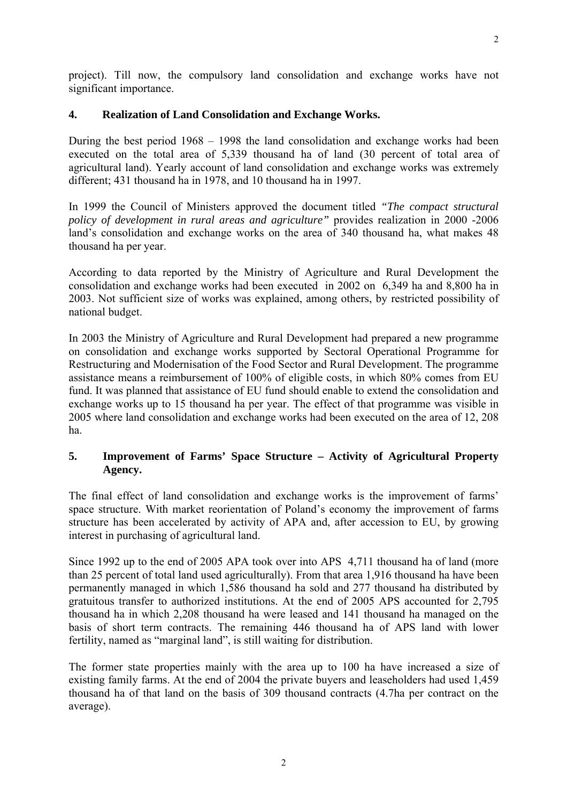$\mathcal{L}$ 

project). Till now, the compulsory land consolidation and exchange works have not significant importance.

# **4. Realization of Land Consolidation and Exchange Works.**

During the best period 1968 – 1998 the land consolidation and exchange works had been executed on the total area of 5,339 thousand ha of land (30 percent of total area of agricultural land). Yearly account of land consolidation and exchange works was extremely different; 431 thousand ha in 1978, and 10 thousand ha in 1997.

In 1999 the Council of Ministers approved the document titled *"The compact structural policy of development in rural areas and agriculture"* provides realization in 2000 -2006 land's consolidation and exchange works on the area of 340 thousand ha, what makes 48 thousand ha per year.

According to data reported by the Ministry of Agriculture and Rural Development the consolidation and exchange works had been executed in 2002 on 6,349 ha and 8,800 ha in 2003. Not sufficient size of works was explained, among others, by restricted possibility of national budget.

In 2003 the Ministry of Agriculture and Rural Development had prepared a new programme on consolidation and exchange works supported by Sectoral Operational Programme for Restructuring and Modernisation of the Food Sector and Rural Development. The programme assistance means a reimbursement of 100% of eligible costs, in which 80% comes from EU fund. It was planned that assistance of EU fund should enable to extend the consolidation and exchange works up to 15 thousand ha per year. The effect of that programme was visible in 2005 where land consolidation and exchange works had been executed on the area of 12, 208 ha.

# **5. Improvement of Farms' Space Structure – Activity of Agricultural Property Agency.**

The final effect of land consolidation and exchange works is the improvement of farms' space structure. With market reorientation of Poland's economy the improvement of farms structure has been accelerated by activity of APA and, after accession to EU, by growing interest in purchasing of agricultural land.

Since 1992 up to the end of 2005 APA took over into APS 4,711 thousand ha of land (more than 25 percent of total land used agriculturally). From that area 1,916 thousand ha have been permanently managed in which 1,586 thousand ha sold and 277 thousand ha distributed by gratuitous transfer to authorized institutions. At the end of 2005 APS accounted for 2,795 thousand ha in which 2,208 thousand ha were leased and 141 thousand ha managed on the basis of short term contracts. The remaining 446 thousand ha of APS land with lower fertility, named as "marginal land", is still waiting for distribution.

The former state properties mainly with the area up to 100 ha have increased a size of existing family farms. At the end of 2004 the private buyers and leaseholders had used 1,459 thousand ha of that land on the basis of 309 thousand contracts (4.7ha per contract on the average).